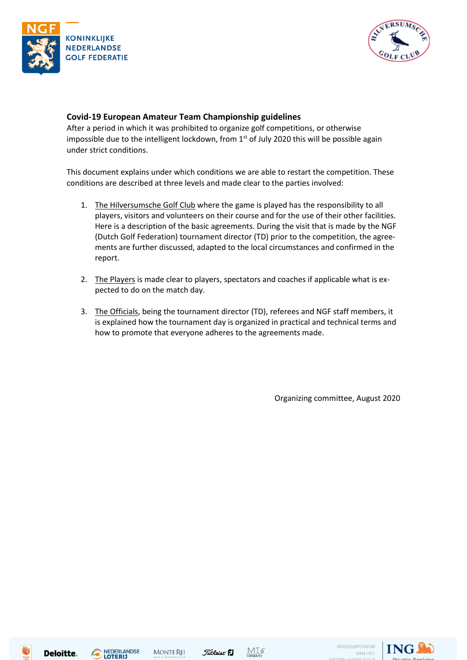



### **Covid-19 European Amateur Team Championship guidelines**

After a period in which it was prohibited to organize golf competitions, or otherwise impossible due to the intelligent lockdown, from 1<sup>st</sup> of July 2020 this will be possible again under strict conditions.

This document explains under which conditions we are able to restart the competition. These conditions are described at three levels and made clear to the parties involved:

- 1. The Hilversumsche Golf Club where the game is played has the responsibility to all players, visitors and volunteers on their course and for the use of their other facilities. Here is a description of the basic agreements. During the visit that is made by the NGF (Dutch Golf Federation) tournament director (TD) prior to the competition, the agreements are further discussed, adapted to the local circumstances and confirmed in the report.
- 2. The Players is made clear to players, spectators and coaches if applicable what is expected to do on the match day.
- 3. The Officials, being the tournament director (TD), referees and NGF staff members, it is explained how the tournament day is organized in practical and technical terms and how to promote that everyone adheres to the agreements made.

Organizing committee, August 2020









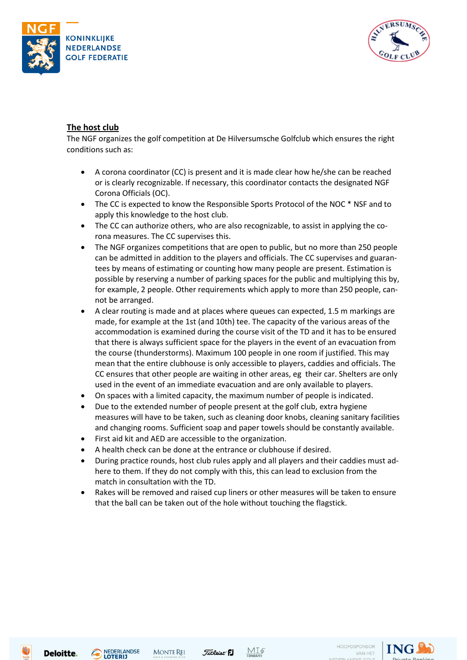



## **The host club**

The NGF organizes the golf competition at De Hilversumsche Golfclub which ensures the right conditions such as:

- A corona coordinator (CC) is present and it is made clear how he/she can be reached or is clearly recognizable. If necessary, this coordinator contacts the designated NGF Corona Officials (OC).
- The CC is expected to know the Responsible Sports Protocol of the NOC \* NSF and to apply this knowledge to the host club.
- The CC can authorize others, who are also recognizable, to assist in applying the corona measures. The CC supervises this.
- The NGF organizes competitions that are open to public, but no more than 250 people can be admitted in addition to the players and officials. The CC supervises and guarantees by means of estimating or counting how many people are present. Estimation is possible by reserving a number of parking spaces for the public and multiplying this by, for example, 2 people. Other requirements which apply to more than 250 people, cannot be arranged.
- A clear routing is made and at places where queues can expected, 1.5 m markings are made, for example at the 1st (and 10th) tee. The capacity of the various areas of the accommodation is examined during the course visit of the TD and it has to be ensured that there is always sufficient space for the players in the event of an evacuation from the course (thunderstorms). Maximum 100 people in one room if justified. This may mean that the entire clubhouse is only accessible to players, caddies and officials. The CC ensures that other people are waiting in other areas, eg their car. Shelters are only used in the event of an immediate evacuation and are only available to players.
- On spaces with a limited capacity, the maximum number of people is indicated.
- Due to the extended number of people present at the golf club, extra hygiene measures will have to be taken, such as cleaning door knobs, cleaning sanitary facilities and changing rooms. Sufficient soap and paper towels should be constantly available.
- First aid kit and AED are accessible to the organization.
- A health check can be done at the entrance or clubhouse if desired.
- During practice rounds, host club rules apply and all players and their caddies must adhere to them. If they do not comply with this, this can lead to exclusion from the match in consultation with the TD.
- Rakes will be removed and raised cup liners or other measures will be taken to ensure that the ball can be taken out of the hole without touching the flagstick.







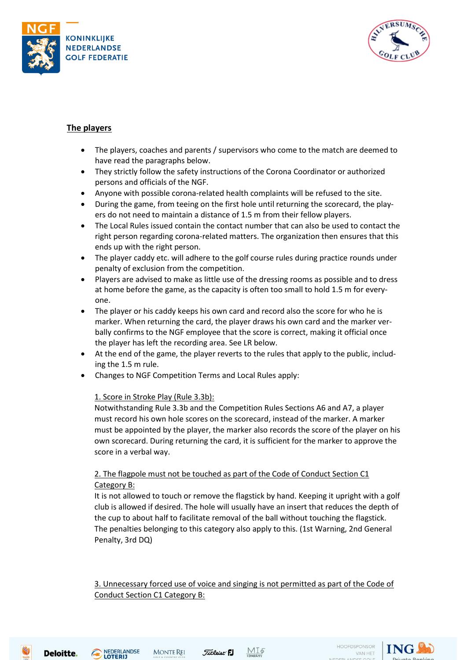



## **The players**

- The players, coaches and parents / supervisors who come to the match are deemed to have read the paragraphs below.
- They strictly follow the safety instructions of the Corona Coordinator or authorized persons and officials of the NGF.
- Anyone with possible corona-related health complaints will be refused to the site.
- During the game, from teeing on the first hole until returning the scorecard, the players do not need to maintain a distance of 1.5 m from their fellow players.
- The Local Rules issued contain the contact number that can also be used to contact the right person regarding corona-related matters. The organization then ensures that this ends up with the right person.
- The player caddy etc. will adhere to the golf course rules during practice rounds under penalty of exclusion from the competition.
- Players are advised to make as little use of the dressing rooms as possible and to dress at home before the game, as the capacity is often too small to hold 1.5 m for everyone.
- The player or his caddy keeps his own card and record also the score for who he is marker. When returning the card, the player draws his own card and the marker verbally confirms to the NGF employee that the score is correct, making it official once the player has left the recording area. See LR below.
- At the end of the game, the player reverts to the rules that apply to the public, including the 1.5 m rule.
- Changes to NGF Competition Terms and Local Rules apply:

#### 1. Score in Stroke Play (Rule 3.3b):

Notwithstanding Rule 3.3b and the Competition Rules Sections A6 and A7, a player must record his own hole scores on the scorecard, instead of the marker. A marker must be appointed by the player, the marker also records the score of the player on his own scorecard. During returning the card, it is sufficient for the marker to approve the score in a verbal way.

## 2. The flagpole must not be touched as part of the Code of Conduct Section C1 Category B:

It is not allowed to touch or remove the flagstick by hand. Keeping it upright with a golf club is allowed if desired. The hole will usually have an insert that reduces the depth of the cup to about half to facilitate removal of the ball without touching the flagstick. The penalties belonging to this category also apply to this. (1st Warning, 2nd General Penalty, 3rd DQ)

3. Unnecessary forced use of voice and singing is not permitted as part of the Code of Conduct Section C1 Category B:









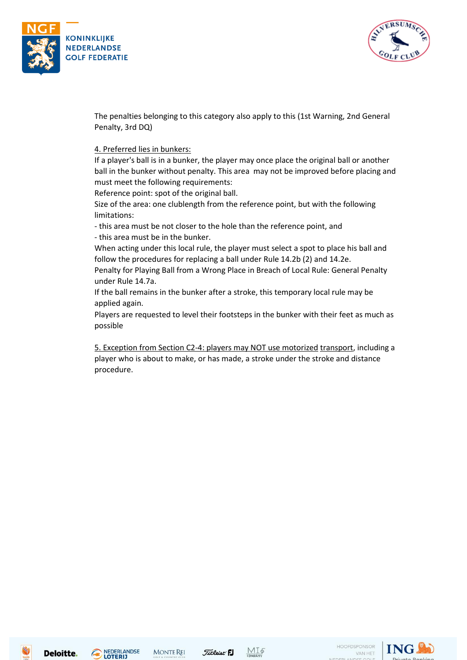



The penalties belonging to this category also apply to this (1st Warning, 2nd General Penalty, 3rd DQ)

#### 4. Preferred lies in bunkers:

If a player's ball is in a bunker, the player may once place the original ball or another ball in the bunker without penalty. This area may not be improved before placing and must meet the following requirements:

Reference point: spot of the original ball.

Size of the area: one clublength from the reference point, but with the following limitations:

- this area must be not closer to the hole than the reference point, and - this area must be in the bunker.

When acting under this local rule, the player must select a spot to place his ball and follow the procedures for replacing a ball under Rule 14.2b (2) and 14.2e.

Penalty for Playing Ball from a Wrong Place in Breach of Local Rule: General Penalty under Rule 14.7a.

If the ball remains in the bunker after a stroke, this temporary local rule may be applied again.

Players are requested to level their footsteps in the bunker with their feet as much as possible

5. Exception from Section C2-4: players may NOT use motorized transport, including a player who is about to make, or has made, a stroke under the stroke and distance procedure.